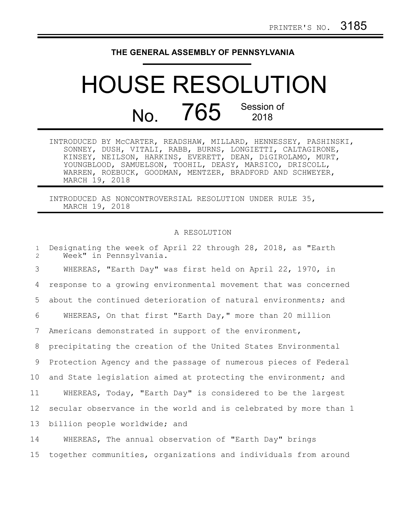## **THE GENERAL ASSEMBLY OF PENNSYLVANIA**

## HOUSE RESOLUTION No. 765 Session of

|                | INTRODUCED BY MCCARTER, READSHAW, MILLARD, HENNESSEY, PASHINSKI, |  |  |
|----------------|------------------------------------------------------------------|--|--|
|                | SONNEY, DUSH, VITALI, RABB, BURNS, LONGIETTI, CALTAGIRONE,       |  |  |
|                | KINSEY, NEILSON, HARKINS, EVERETT, DEAN, DiGIROLAMO, MURT,       |  |  |
|                | YOUNGBLOOD, SAMUELSON, TOOHIL, DEASY, MARSICO, DRISCOLL,         |  |  |
|                | WARREN, ROEBUCK, GOODMAN, MENTZER, BRADFORD AND SCHWEYER,        |  |  |
| MARCH 19, 2018 |                                                                  |  |  |

INTRODUCED AS NONCONTROVERSIAL RESOLUTION UNDER RULE 35, MARCH 19, 2018

## A RESOLUTION

| $\mathbf{1}$<br>2 | Designating the week of April 22 through 28, 2018, as "Earth<br>Week" in Pennsylvania. |
|-------------------|----------------------------------------------------------------------------------------|
| 3                 | WHEREAS, "Earth Day" was first held on April 22, 1970, in                              |
| 4                 | response to a growing environmental movement that was concerned                        |
| 5                 | about the continued deterioration of natural environments; and                         |
| 6                 | WHEREAS, On that first "Earth Day," more than 20 million                               |
| 7                 | Americans demonstrated in support of the environment,                                  |
| 8                 | precipitating the creation of the United States Environmental                          |
| 9                 | Protection Agency and the passage of numerous pieces of Federal                        |
| 10 <sub>o</sub>   | and State legislation aimed at protecting the environment; and                         |
| 11                | WHEREAS, Today, "Earth Day" is considered to be the largest                            |
| 12                | secular observance in the world and is celebrated by more than 1                       |
| 13                | billion people worldwide; and                                                          |
| 14                | WHEREAS, The annual observation of "Earth Day" brings                                  |
| 15                | together communities, organizations and individuals from around                        |